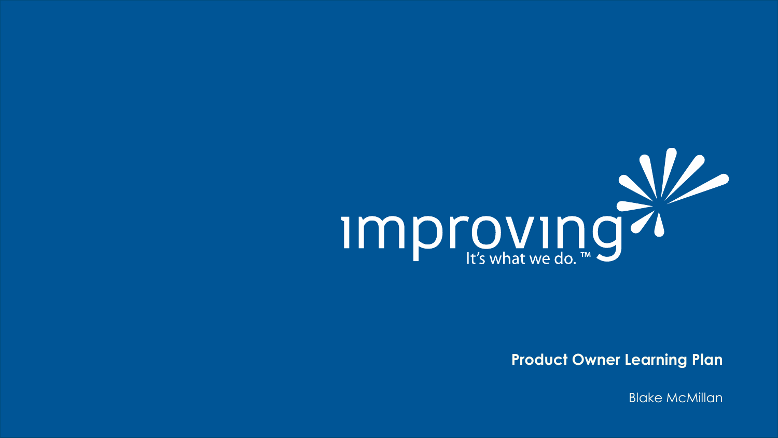

**Product Owner Learning Plan**

Blake McMillan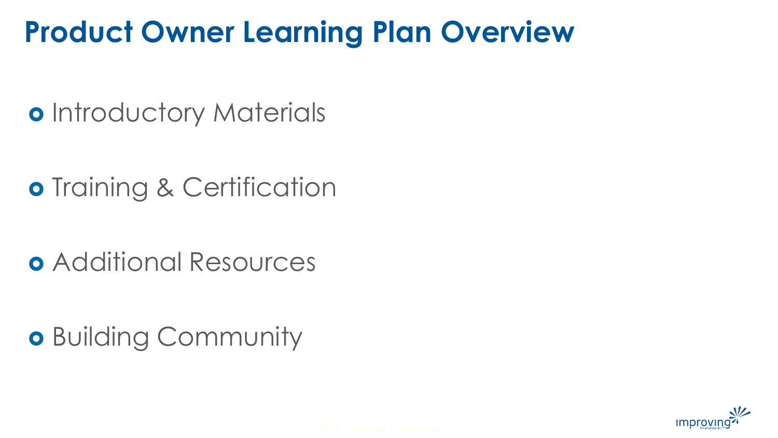## **Product Owner Learning Plan Overview**

o Introductory Materials

**o** Training & Certification

Additional Resources

**o** Building Community

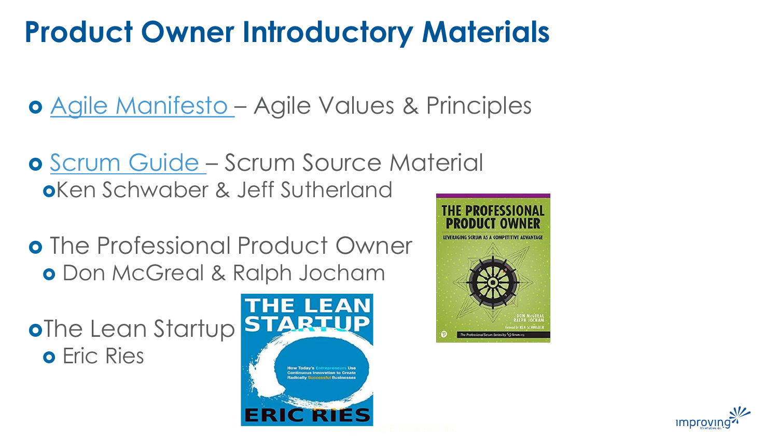# **Product Owner Introductory Materials**

[Agile Manifesto](http://agilemanifesto.org/) – Agile Values & Principles

- **o** [Scrum Guide](https://www.scrumguides.org/scrum-guide.html)  Scrum Source Material Ken Schwaber & Jeff Sutherland
- o The Professional Product Owner **o** Don McGreal & Ralph Jocham

oThe Lean Startup o Fric Ries





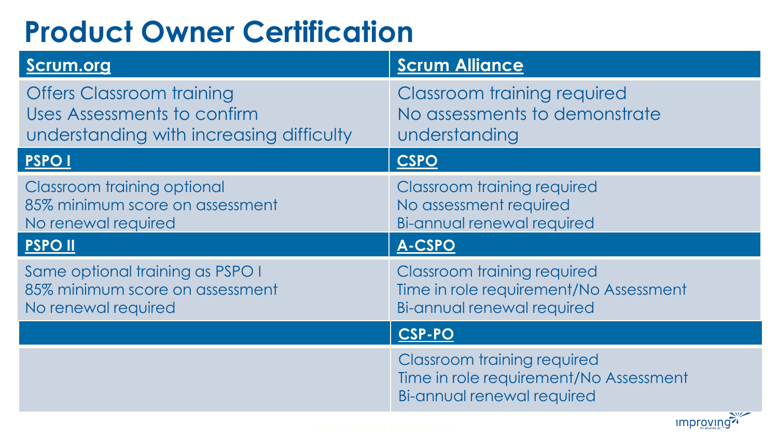# **Product Owner Certification**

| <b>Scrum.org</b>                                                                                            | <b>Scrum Alliance</b>                                                                                                    |
|-------------------------------------------------------------------------------------------------------------|--------------------------------------------------------------------------------------------------------------------------|
| <b>Offers Classroom training</b><br>Uses Assessments to confirm<br>understanding with increasing difficulty | <b>Classroom training required</b><br>No assessments to demonstrate<br>understanding                                     |
| <b>PSPOI</b>                                                                                                | <b>CSPO</b>                                                                                                              |
| <b>Classroom training optional</b><br>85% minimum score on assessment<br>No renewal required                | <b>Classroom training required</b><br>No assessment required<br>Bi-annual renewal required                               |
| <b>PSPOII</b>                                                                                               | A-CSPO                                                                                                                   |
| Same optional training as PSPO I<br>85% minimum score on assessment<br>No renewal required                  | Classroom training required<br>Time in role requirement/No Assessment<br>Bi-annual renewal required                      |
|                                                                                                             | <b>CSP-PO</b>                                                                                                            |
|                                                                                                             | <b>Classroom training required</b><br>Time in role requirement/No Assessment<br>Bi-annual renewal required<br>$\sqrt{2}$ |

improving?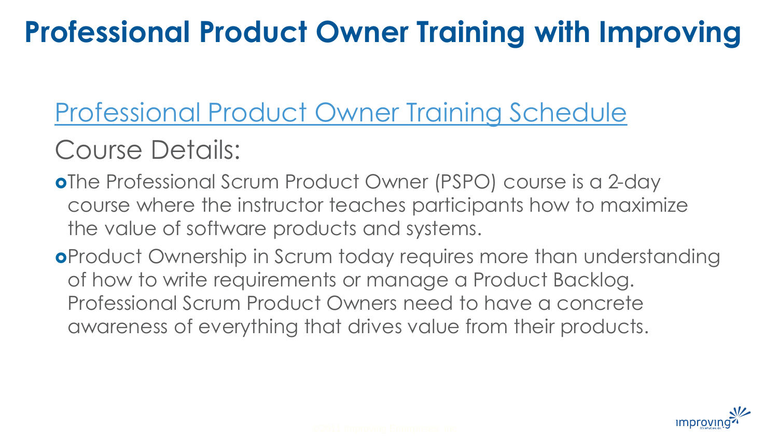# **Professional Product Owner Training with Improving**

# [Professional Product Owner Training Schedule](https://improving.com/training/class/professional-scrum-product-owner-certification/plano)

## Course Details:

- oThe Professional Scrum Product Owner (PSPO) course is a 2-day course where the instructor teaches participants how to maximize the value of software products and systems.
- Product Ownership in Scrum today requires more than understanding of how to write requirements or manage a Product Backlog. Professional Scrum Product Owners need to have a concrete awareness of everything that drives value from their products.

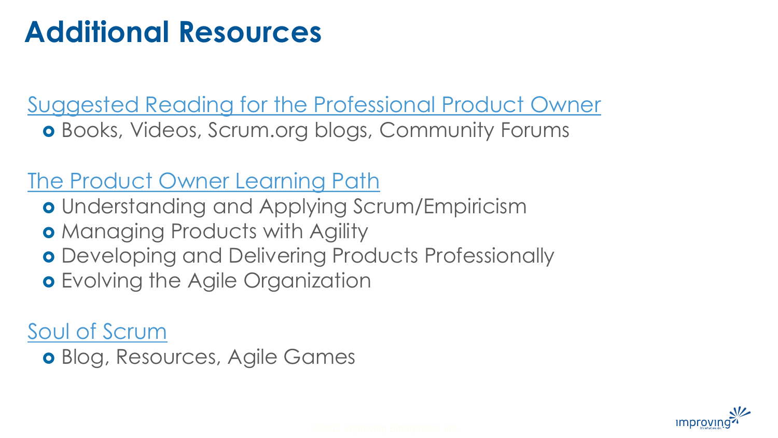## **Additional Resources**

[Suggested Reading for the Professional Product Owner](https://www.scrum.org/resources/suggested-reading-professional-scrum-product-owner) Books, Videos, Scrum.org blogs, Community Forums

#### [The Product Owner Learning Path](https://www.scrum.org/pathway/product-owner-learning-path)

- o Understanding and Applying Scrum/Empiricism
- **o** Managing Products with Agility
- **o** Developing and Delivering Products Professionally
- **o** Evolving the Agile Organization

### [Soul of Scrum](https://soulofscrum.com/)

Blog, Resources, Agile Games